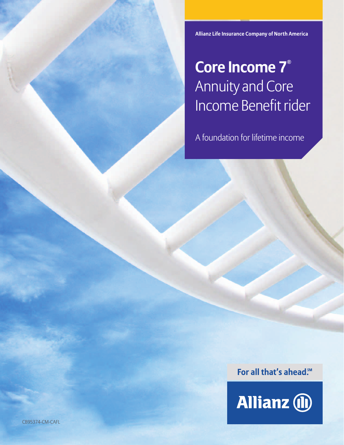**Allianz Life Insurance Company of North America**

### **Core Income 7®** Annuity and Core Income Benefit rider

A foundation for lifetime income

For all that's ahead.<sup>5M</sup>

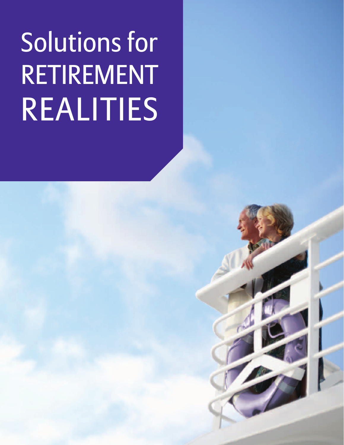# Solutions for RETIREMENT REALITIES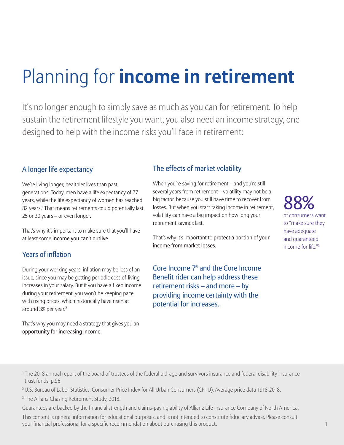# Planning for **income in retirement**

It's no longer enough to simply save as much as you can for retirement. To help sustain the retirement lifestyle you want, you also need an income strategy, one designed to help with the income risks you'll face in retirement:

#### A longer life expectancy

We're living longer, healthier lives than past generations. Today, men have a life expectancy of 77 years, while the life expectancy of women has reached 82 years.<sup>1</sup> That means retirements could potentially last 25 or 30 years – or even longer.

That's why it's important to make sure that you'll have at least some income you can't outlive.

#### Years of inflation

During your working years, inflation may be less of an issue, since you may be getting periodic cost-of-living increases in your salary. But if you have a fixed income during your retirement, you won't be keeping pace with rising prices, which historically have risen at around 3% per year.<sup>2</sup>

That's why you may need a strategy that gives you an opportunity for increasing income.

#### The effects of market volatility

When you're saving for retirement – and you're still several years from retirement – volatility may not be a big factor, because you still have time to recover from losses. But when you start taking income in retirement, volatility can have a big impact on how long your retirement savings last.

That's why it's important to protect a portion of your income from market losses.

Core Income 7® and the Core Income Benefit rider can help address these retirement risks – and more – by providing income certainty with the potential for increases.

#### 000 of consumers want to "make sure they have adequate and guaranteed income for life"<sup>3</sup>

<sup>1</sup>The 2018 annual report of the board of trustees of the federal old-age and survivors insurance and federal disability insurance trust funds, p.96.

2 U.S. Bureau of Labor Statistics, Consumer Price Index for All Urban Consumers (CPI-U), Average price data 1918-2018.

<sup>3</sup> The Allianz Chasing Retirement Study, 2018.

Guarantees are backed by the financial strength and claims-paying ability of Allianz Life Insurance Company of North America.

This content is general information for educational purposes, and is not intended to constitute fiduciary advice. Please consult your financial professional for a specific recommendation about purchasing this product. 1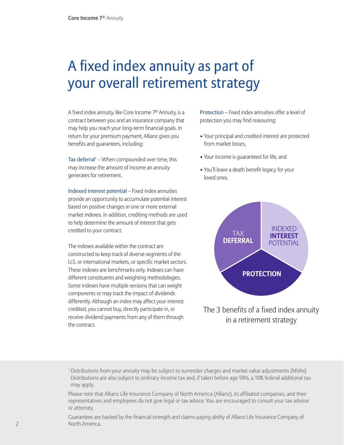### A fixed index annuity as part of your overall retirement strategy

A fixed index annuity, like Core Income 7® Annuity, is a contract between you and an insurance company that may help you reach your long-term financial goals. In return for your premium payment, Allianz gives you benefits and guarantees, including:

**Tax deferral**<sup>1</sup> – When compounded over time, this may increase the amount of income an annuity generates for retirement.

Indexed interest potential – Fixed index annuities provide an opportunity to accumulate potential interest based on positive changes in one or more external market indexes. In addition, crediting methods are used to help determine the amount of interest that gets credited to your contract.

The indexes available within the contract are constructed to keep track of diverse segments of the U.S. or international markets, or specific market sectors. These indexes are benchmarks only. Indexes can have different constituents and weighting methodologies. Some indexes have multiple versions that can weight components or may track the impact of dividends differently. Although an index may affect your interest credited, you cannot buy, directly participate in, or receive dividend payments from any of them through the contract.

Protection – Fixed index annuities offer a level of protection you may find reassuring:

- Your principal and credited interest are protected from market losses,
- Your income is guaranteed for life, and
- You'll leave a death benefit legacy for your loved ones.



The 3 benefits of a fixed index annuity in a retirement strategy

<sup>1</sup> Distributions from your annuity may be subject to surrender charges and market value adjustments (MVAs). Distributions are also subject to ordinary income tax and, if taken before age 59½, a 10% federal additional tax may apply.

Please note that Allianz Life Insurance Company of North America (Allianz), its affiliated companies, and their representatives and employees do not give legal or tax advice. You are encouraged to consult your tax advisor or attorney.

Guarantees are backed by the financial strength and claims-paying ability of Allianz Life Insurance Company of North America.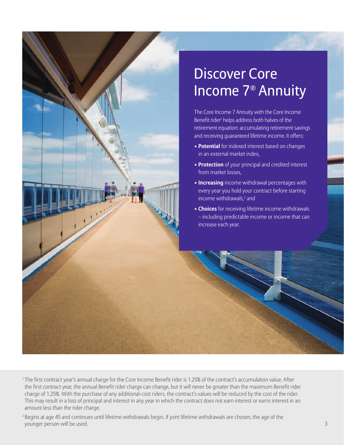## Discover Core Income 7® Annuity The Core Income 7 Annuity with the Core Income Benefit rider<sup>1</sup> helps address both halves of the retirement equation: accumulating retirement savings and receiving guaranteed lifetime income. It offers: • **Potential** for indexed interest based on changes in an external market index, • **Protection** of your principal and credited interest from market losses, • **Increasing** income withdrawal percentages with every year you hold your contract before starting income withdrawals,<sup>2</sup> and • **Choices** for receiving lifetime income withdrawals – including predictable income or income that can increase each year.

<sup>1</sup>The first contract year's annual charge for the Core Income Benefit rider is 1.25% of the contract's accumulation value. After the first contract year, the annual Benefit rider charge can change, but it will never be greater than the maximum Benefit rider charge of 1.25%. With the purchase of any additional-cost riders, the contract's values will be reduced by the cost of the rider. This may result in a loss of principal and interest in any year in which the contract does not earn interest or earns interest in an amount less than the rider charge.

<sup>2</sup> Begins at age 45 and continues until lifetime withdrawals begin. If joint lifetime withdrawals are chosen, the age of the younger person will be used. 3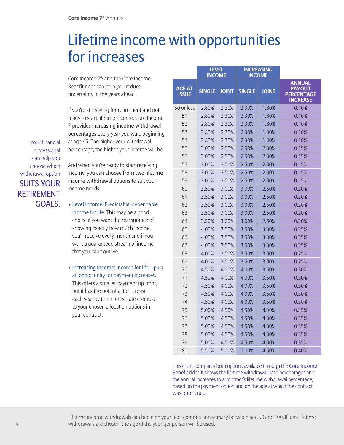### Lifetime income with opportunities for increases

Core Income 7® and the Core Income Benefit rider can help you reduce uncertainty in the years ahead.

If you're still saving for retirement and not ready to start lifetime income, Core Income 7 provides increasing income withdrawal percentages every year you wait, beginning at age 45. The higher your withdrawal percentage, the higher your income will be.

And when you're ready to start receiving income, you can choose from two lifetime income withdrawal options to suit your income needs:

- Level Income: Predictable, dependable income for life. This may be a good choice if you want the reassurance of knowing exactly how much income you'll receive every month and if you want a guaranteed stream of income that you can't outlive.
- Increasing Income: Income for life plus an opportunity for payment increases. This offers a smaller payment up front, but it has the potential to increase each year by the interest rate credited to your chosen allocation options in your contract.

|                               | <b>LEVEL</b><br><b>INCOME</b> |              | <b>INCREASING</b><br><b>INCOME</b> |              |                                                                        |
|-------------------------------|-------------------------------|--------------|------------------------------------|--------------|------------------------------------------------------------------------|
| <b>AGE AT</b><br><b>ISSUE</b> | <b>SINGLE</b>                 | <b>JOINT</b> | <b>SINGLE</b>                      | <b>JOINT</b> | <b>ANNUAL</b><br><b>PAYOUT</b><br><b>PERCENTAGE</b><br><b>INCREASE</b> |
| 50 or less                    | 2.80%                         | 2.30%        | 2.30%                              | 1.80%        | 0.10%                                                                  |
| 51                            | 2.80%                         | 2.30%        | 2.30%                              | 1.80%        | 0.10%                                                                  |
| 52                            | 2.80%                         | 2.30%        | 2.30%                              | 1.80%        | 0.10%                                                                  |
| 53                            | 2.80%                         | 2.30%        | 2.30%                              | 1.80%        | 0.10%                                                                  |
| 54                            | 2.80%                         | 2.30%        | 2.30%                              | 1.80%        | 0.10%                                                                  |
| 55                            | 3.00%                         | 2.50%        | 2.50%                              | 2.00%        | 0.15%                                                                  |
| 56                            | 3.00%                         | 2.50%        | 2.50%                              | 2.00%        | 0.15%                                                                  |
| 57                            | 3.00%                         | 2.50%        | 2.50%                              | 2.00%        | 0.15%                                                                  |
| 58                            | 3.00%                         | 2.50%        | 2.50%                              | 2.00%        | 0.15%                                                                  |
| 59                            | 3.00%                         | 2.50%        | 2.50%                              | 2.00%        | 0.15%                                                                  |
| 60                            | 3.50%                         | 3.00%        | 3.00%                              | 2.50%        | 0.20%                                                                  |
| 61                            | 3.50%                         | 3.00%        | 3.00%                              | 2.50%        | 0.20%                                                                  |
| 62                            | 3.50%                         | 3.00%        | 3.00%                              | 2.50%        | 0.20%                                                                  |
| 63                            | 3.50%                         | 3.00%        | 3.00%                              | 2.50%        | 0.20%                                                                  |
| 64                            | 3.50%                         | 3.00%        | 3.00%                              | 2.50%        | 0.20%                                                                  |
| 65                            | 4.00%                         | 3.50%        | 3.50%                              | 3.00%        | 0.25%                                                                  |
| 66                            | 4.00%                         | 3.50%        | 3.50%                              | 3.00%        | 0.25%                                                                  |
| 67                            | 4.00%                         | 3.50%        | 3.50%                              | 3.00%        | 0.25%                                                                  |
| 68                            | 4.00%                         | 3.50%        | 3.50%                              | 3.00%        | 0.25%                                                                  |
| 69                            | 4.00%                         | 3.50%        | 3.50%                              | 3.00%        | 0.25%                                                                  |
| 70                            | 4.50%                         | 4.00%        | 4.00%                              | 3.50%        | 0.30%                                                                  |
| 71                            | 4.50%                         | 4.00%        | 4.00%                              | 3.50%        | 0.30%                                                                  |
| 72                            | 4.50%                         | 4.00%        | 4.00%                              | 3.50%        | 0.30%                                                                  |
| 73                            | 4.50%                         | 4.00%        | 4.00%                              | 3.50%        | 0.30%                                                                  |
| 74                            | 4.50%                         | 4.00%        | 4.00%                              | 3.50%        | 0.30%                                                                  |
| 75                            | 5.00%                         | 4.50%        | 4.50%                              | 4.00%        | 0.35%                                                                  |
| 76                            | 5.00%                         | 4.50%        | 4.50%                              | 4.00%        | 0.35%                                                                  |
| 77                            | 5.00%                         | 4.50%        | 4.50%                              | 4.00%        | 0.35%                                                                  |
| 78                            | 5.00%                         | 4.50%        | 4.50%                              | 4.00%        | 0.35%                                                                  |
| 79                            | 5.00%                         | 4.50%        | 4.50%                              | 4.00%        | 0.35%                                                                  |
| 80                            | 5.50%                         | 5.00%        | 5.00%                              | 4.50%        | 0.40%                                                                  |

This chart compares both options available through the Core Income Benefit rider. It shows the lifetime withdrawal base percentages and the annual increases to a contract's lifetime withdrawal percentage, based on the payment option and on the age at which the contract

# was purchased.

Your financial professional can help you choose which withdrawal option SUITS YOUR RETIREMENT GOALS.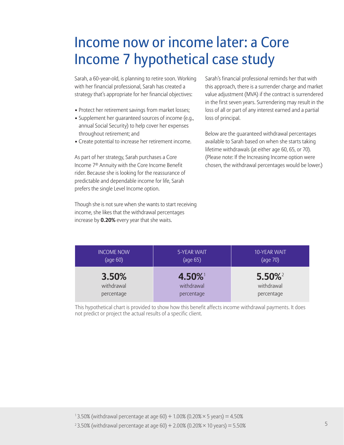### Income now or income later: a Core Income 7 hypothetical case study

Sarah, a 60-year-old, is planning to retire soon. Working with her financial professional, Sarah has created a strategy that's appropriate for her financial objectives:

- Protect her retirement savings from market losses;
- Supplement her guaranteed sources of income (e.g., annual Social Security) to help cover her expenses throughout retirement; and
- Create potential to increase her retirement income.

As part of her strategy, Sarah purchases a Core Income 7® Annuity with the Core Income Benefit rider. Because she is looking for the reassurance of predictable and dependable income for life, Sarah prefers the single Level Income option.

Though she is not sure when she wants to start receiving income, she likes that the withdrawal percentages increase by **0.20%** every year that she waits.

Sarah's financial professional reminds her that with this approach, there is a surrender charge and market value adjustment (MVA) if the contract is surrendered in the first seven years. Surrendering may result in the loss of all or part of any interest earned and a partial loss of principal.

Below are the guaranteed withdrawal percentages available to Sarah based on when she starts taking lifetime withdrawals (at either age 60, 65, or 70). (Please note: If the Increasing Income option were chosen, the withdrawal percentages would be lower.)

| <b>INCOME NOW</b> | 5-YEAR WAIT | 10-YEAR WAIT          |
|-------------------|-------------|-----------------------|
| (age 60)          | (age 65)    | (age 70)              |
| 3.50%             | $4.50\%$    | $5.50\%$ <sup>2</sup> |
| withdrawal        | withdrawal  | withdrawal            |
| percentage        | percentage  | percentage            |

This hypothetical chart is provided to show how this benefit affects income withdrawal payments. It does not predict or project the actual results of a specific client.

<sup>&</sup>lt;sup>2</sup> 3.50% (withdrawal percentage at age 60) + 2.00% (0.20%  $\times$  10 years) = 5.50%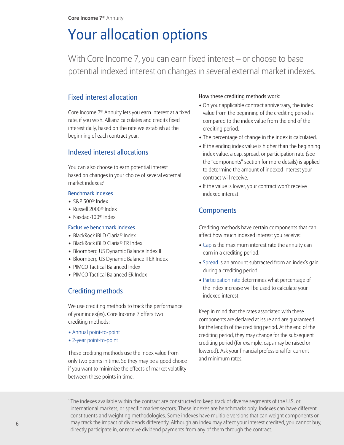### Your allocation options

With Core Income 7, you can earn fixed interest – or choose to base potential indexed interest on changes in several external market indexes.

#### Fixed interest allocation

Core Income 7® Annuity lets you earn interest at a fixed rate, if you wish. Allianz calculates and credits fixed interest daily, based on the rate we establish at the beginning of each contract year.

#### Indexed interest allocations

You can also choose to earn potential interest based on changes in your choice of several external market indexes:1

#### Benchmark indexes

- S&P 500® Index
- Russell 2000® Index
- Nasdaq-100® Index

#### Exclusive benchmark indexes

- BlackRock iBLD Claria® Index
- BlackRock iBLD Claria<sup>®</sup> ER Index
- Bloomberg US Dynamic Balance Index II
- Bloomberg US Dynamic Balance II ER Index
- PIMCO Tactical Balanced Index
- PIMCO Tactical Balanced ER Index

#### Crediting methods

We use crediting methods to track the performance of your index(es). Core Income 7 offers two crediting methods:

- Annual point-to-point
- 2-year point-to-point

These crediting methods use the index value from only two points in time. So they may be a good choice if you want to minimize the effects of market volatility between these points in time.

#### How these crediting methods work:

- On your applicable contract anniversary, the index value from the beginning of the crediting period is compared to the index value from the end of the crediting period.
- The percentage of change in the index is calculated.
- If the ending index value is higher than the beginning index value, a cap, spread, or participation rate (see the "components" section for more details) is applied to determine the amount of indexed interest your contract will receive.
- If the value is lower, your contract won't receive indexed interest.

#### **Components**

Crediting methods have certain components that can affect how much indexed interest you receive:

- Cap is the maximum interest rate the annuity can earn in a crediting period.
- Spread is an amount subtracted from an index's gain during a crediting period.
- Participation rate determines what percentage of the index increase will be used to calculate your indexed interest.

Keep in mind that the rates associated with these components are declared at issue and are guaranteed for the length of the crediting period. At the end of the crediting period, they may change for the subsequent crediting period (for example, caps may be raised or lowered). Ask your financial professional for current and minimum rates.

1 The indexes available within the contract are constructed to keep track of diverse segments of the U.S. or international markets, or specific market sectors. These indexes are benchmarks only. Indexes can have different constituents and weighting methodologies. Some indexes have multiple versions that can weight components or may track the impact of dividends differently. Although an index may affect your interest credited, you cannot buy, directly participate in, or receive dividend payments from any of them through the contract.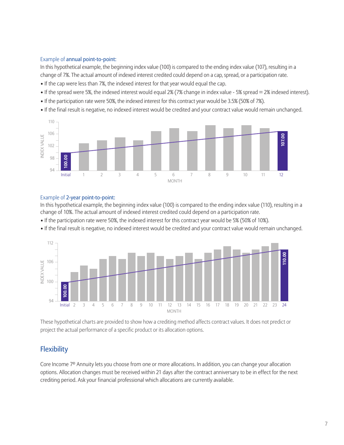#### Example of annual point-to-point:

In this hypothetical example, the beginning index value (100) is compared to the ending index value (107), resulting in a change of 7%. The actual amount of indexed interest credited could depend on a cap, spread, or a participation rate.

- If the cap were less than 7%, the indexed interest for that year would equal the cap.
- If the spread were 5%, the indexed interest would equal 2% (7% change in index value 5% spread = 2% indexed interest).
- If the participation rate were 50%, the indexed interest for this contract year would be 3.5% (50% of 7%).
- If the final result is negative, no indexed interest would be credited and your contract value would remain unchanged.



#### Example of 2-year point-to-point:

In this hypothetical example, the beginning index value (100) is compared to the ending index value (110), resulting in a change of 10%. The actual amount of indexed interest credited could depend on a participation rate.

- If the participation rate were 50%, the indexed interest for this contract year would be 5% (50% of 10%).
- If the final result is negative, no indexed interest would be credited and your contract value would remain unchanged.



These hypothetical charts are provided to show how a crediting method affects contract values. It does not predict or project the actual performance of a specific product or its allocation options.

#### **Flexibility**

Core Income 7® Annuity lets you choose from one or more allocations. In addition, you can change your allocation options. Allocation changes must be received within 21 days after the contract anniversary to be in effect for the next crediting period. Ask your financial professional which allocations are currently available.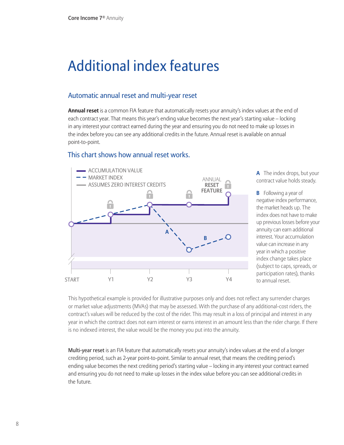### Additional index features

#### Automatic annual reset and multi-year reset

**Annual reset** is a common FIA feature that automatically resets your annuity's index values at the end of each contract year. That means this year's ending value becomes the next year's starting value – locking in any interest your contract earned during the year and ensuring you do not need to make up losses in the index before you can see any additional credits in the future. Annual reset is available on annual point-to-point.

#### This chart shows how annual reset works.



**A** The index drops, but your contract value holds steady.

**B** Following a year of negative index performance, the market heads up. The index does not have to make up previous losses before your annuity can earn additional interest. Your accumulation value can increase in any year in which a positive index change takes place (subject to caps, spreads, or participation rates), thanks to annual reset.

This hypothetical example is provided for illustrative purposes only and does not reflect any surrender charges or market value adjustments (MVAs) that may be assessed. With the purchase of any additional-cost riders, the contract's values will be reduced by the cost of the rider. This may result in a loss of principal and interest in any year in which the contract does not earn interest or earns interest in an amount less than the rider charge. If there is no indexed interest, the value would be the money you put into the annuity.

Multi-year reset is an FIA feature that automatically resets your annuity's index values at the end of a longer crediting period, such as 2-year point-to-point. Similar to annual reset, that means the crediting period's ending value becomes the next crediting period's starting value – locking in any interest your contract earned and ensuring you do not need to make up losses in the index value before you can see additional credits in the future.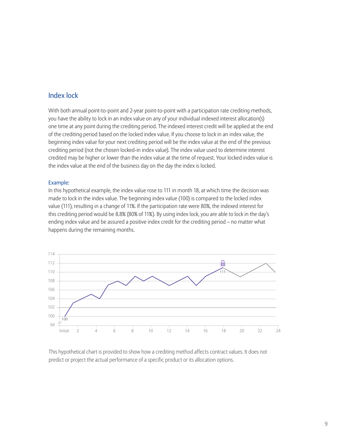#### Index lock

With both annual point-to-point and 2-year point-to-point with a participation rate crediting methods, you have the ability to lock in an index value on any of your individual indexed interest allocation(s) one time at any point during the crediting period. The indexed interest credit will be applied at the end of the crediting period based on the locked index value. If you choose to lock in an index value, the beginning index value for your next crediting period will be the index value at the end of the previous crediting period (not the chosen locked-in index value). The index value used to determine interest credited may be higher or lower than the index value at the time of request. Your locked index value is the index value at the end of the business day on the day the index is locked.

#### Example:

In this hypothetical example, the index value rose to 111 in month 18, at which time the decision was made to lock in the index value. The beginning index value (100) is compared to the locked index value (111), resulting in a change of 11%. If the participation rate were 80%, the indexed interest for this crediting period would be 8.8% (80% of 11%). By using index lock, you are able to lock in the day's ending index value and be assured a positive index credit for the crediting period – no matter what happens during the remaining months.



This hypothetical chart is provided to show how a crediting method affects contract values. It does not predict or project the actual performance of a specific product or its allocation options.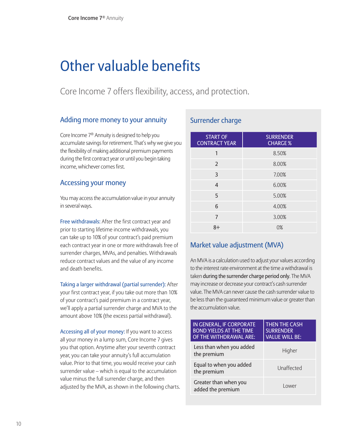### Other valuable benefits

Core Income 7 offers flexibility, access, and protection.

#### Adding more money to your annuity

Core Income 7® Annuity is designed to help you accumulate savings for retirement. That's why we give you the flexibility of making additional premium payments during the first contract year or until you begin taking income, whichever comes first.

#### Accessing your money

You may access the accumulation value in your annuity in several ways.

Free withdrawals: After the first contract year and prior to starting lifetime income withdrawals, you can take up to 10% of your contract's paid premium each contract year in one or more withdrawals free of surrender charges, MVAs, and penalties. Withdrawals reduce contract values and the value of any income and death benefits.

Taking a larger withdrawal (partial surrender): After your first contract year, if you take out more than 10% of your contract's paid premium in a contract year, we'll apply a partial surrender charge and MVA to the amount above 10% (the excess partial withdrawal).

Accessing all of your money: If you want to access all your money in a lump sum, Core Income 7 gives you that option. Anytime after your seventh contract year, you can take your annuity's full accumulation value. Prior to that time, you would receive your cash surrender value – which is equal to the accumulation value minus the full surrender charge, and then adjusted by the MVA, as shown in the following charts.

#### Surrender charge

| <b>START OF</b><br><b>CONTRACT YEAR</b> | <b>SURRENDER</b><br><b>CHARGE %</b> |
|-----------------------------------------|-------------------------------------|
| 1                                       | 8.50%                               |
| $\overline{2}$                          | 8.00%                               |
| 3                                       | 7.00%                               |
| 4                                       | 6.00%                               |
| 5                                       | 5.00%                               |
| 6                                       | 4.00%                               |
| 7                                       | 3.00%                               |
| $8+$                                    | $0\%$                               |

#### Market value adjustment (MVA)

An MVA is a calculation used to adjust your values according to the interest rate environment at the time a withdrawal is taken during the surrender charge period only. The MVA may increase or decrease your contract's cash surrender value. The MVA can never cause the cash surrender value to be less than the guaranteed minimum value or greater than the accumulation value.

| IN GENERAL, IF CORPORATE<br><b>BOND YIELDS AT THE TIME</b><br>OF THE WITHDRAWAL ARE: | <b>THEN THE CASH</b><br><b>SURRENDER</b><br><b>VALUE WILL BE:</b> |
|--------------------------------------------------------------------------------------|-------------------------------------------------------------------|
| Less than when you added<br>the premium                                              | Higher                                                            |
| Equal to when you added<br>the premium                                               | Unaffected                                                        |
| Greater than when you<br>added the premium                                           | I ower                                                            |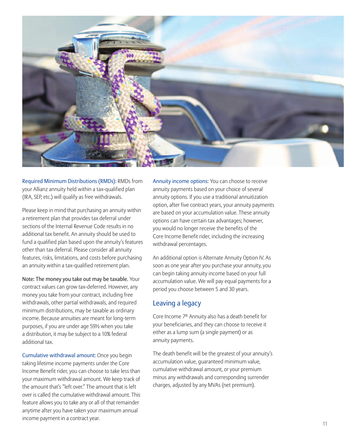

Required Minimum Distributions (RMDs): RMDs from your Allianz annuity held within a tax-qualified plan (IRA, SEP, etc.) will qualify as free withdrawals.

Please keep in mind that purchasing an annuity within a retirement plan that provides tax deferral under sections of the Internal Revenue Code results in no additional tax benefit. An annuity should be used to fund a qualified plan based upon the annuity's features other than tax deferral. Please consider all annuity features, risks, limitations, and costs before purchasing an annuity within a tax-qualified retirement plan.

Note: The money you take out may be taxable. Your contract values can grow tax-deferred. However, any money you take from your contract, including free withdrawals, other partial withdrawals, and required minimum distributions, may be taxable as ordinary income. Because annuities are meant for long-term purposes, if you are under age 59½ when you take a distribution, it may be subject to a 10% federal additional tax.

Cumulative withdrawal amount: Once you begin taking lifetime income payments under the Core Income Benefit rider, you can choose to take less than your maximum withdrawal amount. We keep track of the amount that's "left over." The amount that is left over is called the cumulative withdrawal amount. This feature allows you to take any or all of that remainder anytime after you have taken your maximum annual income payment in a contract year.

Annuity income options: You can choose to receive annuity payments based on your choice of several annuity options. If you use a traditional annuitization option, after five contract years, your annuity payments are based on your accumulation value. These annuity options can have certain tax advantages; however, you would no longer receive the benefits of the Core Income Benefit rider, including the increasing withdrawal percentages.

An additional option is Alternate Annuity Option IV. As soon as one year after you purchase your annuity, you can begin taking annuity income based on your full accumulation value. We will pay equal payments for a period you choose between 5 and 30 years.

#### Leaving a legacy

Core Income 7® Annuity also has a death benefit for your beneficiaries, and they can choose to receive it either as a lump sum (a single payment) or as annuity payments.

The death benefit will be the greatest of your annuity's accumulation value, guaranteed minimum value, cumulative withdrawal amount, or your premium minus any withdrawals and corresponding surrender charges, adjusted by any MVAs (net premium).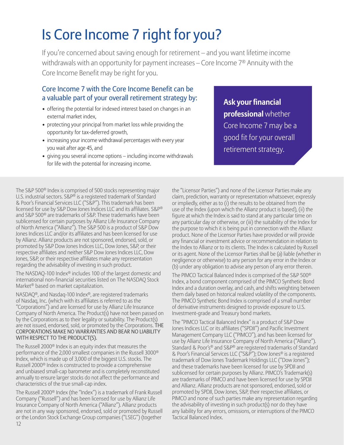### Is Core Income 7 right for you?

If you're concerned about saving enough for retirement – and you want lifetime income withdrawals with an opportunity for payment increases – Core Income 7® Annuity with the Core Income Benefit may be right for you.

#### Core Income 7 with the Core Income Benefit can be a valuable part of your overall retirement strategy by:

- offering the potential for indexed interest based on changes in an external market index,
- protecting your principal from market loss while providing the opportunity for tax-deferred growth,
- increasing your income withdrawal percentages with every year you wait after age 45, and
- giving you several income options including income withdrawals for life with the potential for increasing income.

**Ask your financial professional** whether Core Income 7 may be a good fit for your overall retirement strategy.

The S&P 500® Index is comprised of 500 stocks representing major U.S. industrial sectors. S&P® is a registered trademark of Standard & Poor's Financial Services LLC ("S&P"). This trademark has been licensed for use by S&P Dow Jones Indices LLC and its affiliates. S&P® and S&P 500® are trademarks of S&P. These trademarks have been sublicensed for certain purposes by Allianz Life Insurance Company of North America ("Allianz"). The S&P 500 is a product of S&P Dow Jones Indices LLC and/or its affiliates and has been licensed for use by Allianz. Allianz products are not sponsored, endorsed, sold, or promoted by S&P Dow Jones Indices LLC, Dow Jones, S&P, or their respective affiliates and neither S&P Dow Jones Indices LLC, Dow Jones, S&P, or their respective affiliates make any representation regarding the advisability of investing in such product.

The NASDAQ-100 Index® includes 100 of the largest domestic and international non-financial securities listed on The NASDAQ Stock Market® based on market capitalization.

NASDAQ®, and Nasdaq-100 Index®, are registered trademarks of Nasdaq, Inc. (which with its affiliates is referred to as the "Corporations") and are licensed for use by Allianz Life Insurance Company of North America. The Product(s) have not been passed on by the Corporations as to their legality or suitability. The Product(s) are not issued, endorsed, sold, or promoted by the Corporations. THE CORPORATIONS MAKE NO WARRANTIES AND BEAR NO LIABILITY WITH RESPECT TO THE PRODUCT(S).

The Russell 2000® Index is an equity index that measures the performance of the 2,000 smallest companies in the Russell 3000® Index, which is made up of 3,000 of the biggest U.S. stocks. The Russell 2000® Index is constructed to provide a comprehensive and unbiased small-cap barometer and is completely reconstituted annually to ensure larger stocks do not affect the performance and characteristics of the true small-cap index.

The Russell 2000<sup>®</sup> Index (the "Index") is a trademark of Frank Russell Company ("Russell") and has been licensed for use by Allianz Life Insurance Company of North America ("Allianz"). Allianz products are not in any way sponsored, endorsed, sold or promoted by Russell or the London Stock Exchange Group companies ("LSEG") (together 12

the "Licensor Parties") and none of the Licensor Parties make any claim, prediction, warranty or representation whatsoever, expressly or impliedly, either as to (i) the results to be obtained from the use of the Index (upon which the Allianz product is based), (ii) the figure at which the Index is said to stand at any particular time on any particular day or otherwise, or (iii) the suitability of the Index for the purpose to which it is being put in connection with the Allianz product. None of the Licensor Parties have provided or will provide any financial or investment advice or recommendation in relation to the Index to Allianz or to its clients. The Index is calculated by Russell or its agent. None of the Licensor Parties shall be (a) liable (whether in negligence or otherwise) to any person for any error in the Index or (b) under any obligation to advise any person of any error therein.

The PIMCO Tactical Balanced Index is comprised of the S&P 500® Index, a bond component comprised of the PIMCO Synthetic Bond Index and a duration overlay, and cash, and shifts weighting between them daily based on historical realized volatility of the components. The PIMCO Synthetic Bond Index is comprised of a small number of derivative instruments designed to provide exposure to U.S. Investment-grade and Treasury bond markets.

The "PIMCO Tactical Balanced Index" is a product of S&P Dow Jones Indices LLC or its affiliates ("SPDJI") and Pacific Investment Management Company LLC ("PIMCO"), and has been licensed for use by Allianz Life Insurance Company of North America ("Allianz"). Standard & Poor's® and S&P® are registered trademarks of Standard & Poor's Financial Services LLC ("S&P"); Dow Jones® is a registered trademark of Dow Jones Trademark Holdings LLC ("Dow Jones"); and these trademarks have been licensed for use by SPDJI and sublicensed for certain purposes by Allianz. PIMCO's Trademark(s) are trademarks of PIMCO and have been licensed for use by SPDJI and Allianz. Allianz products are not sponsored, endorsed, sold or promoted by SPDJI, Dow Jones, S&P, their respective affiliates, or PIMCO and none of such parties make any representation regarding the advisability of investing in such product(s) nor do they have any liability for any errors, omissions, or interruptions of the PIMCO Tactical Balanced Index.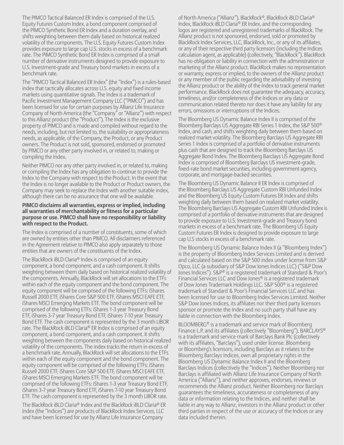The PIMCO Tactical Balanced ER Index is comprised of the U.S. Equity Futures Custom Index, a bond component comprised of the PIMCO Synthetic Bond ER Index and a duration overlay, and shifts weighting between them daily based on historical realized volatility of the components. The U.S. Equity Futures Custom Index provides exposure to large cap U.S. stocks in excess of a benchmark rate. The PIMCO Synthetic Bond ER Index is comprised of a small number of derivative instruments designed to provide exposure to U.S. Investment-grade and Treasury bond markets in excess of a benchmark rate.

The "PIMCO Tactical Balanced ER Index" (the "Index") is a rules-based index that tactically allocates across U.S. equity and fixed income markets using quantitative signals. The Index is a trademark of Pacific Investment Management Company LLC ("PIMCO") and has been licensed for use for certain purposes by Allianz Life Insurance Company of North America (the "Company" or "Allianz") with respect to this Allianz product (the "Product"). The Index is the exclusive property of PIMCO and is made and compiled without regard to the needs, including, but not limited to, the suitability or appropriateness needs, as applicable, of the Company, the Product, or any Product owners. The Product is not sold, sponsored, endorsed or promoted by PIMCO or any other party involved in, or related to, making or compiling the Index.

Neither PIMCO nor any other party involved in, or related to, making or compiling the Index has any obligation to continue to provide the Index to the Company with respect to the Product. In the event that the Index is no longer available to the Product or Product owners, the Company may seek to replace the Index with another suitable index, although there can be no assurance that one will be available.

#### **PIMCO disclaims all warranties, express or implied, including all warranties of merchantability or fitness for a particular purpose or use. PIMCO shall have no responsibility or liability with respect to the Product.**

The Index is comprised of a number of constituents, some of which are owned by entities other than PIMCO. All disclaimers referenced in the Agreement relative to PIMCO also apply separately to those entities that are owners of the constituents of the Index.

The BlackRock iBLD Claria® Index is comprised of an equity component, a bond component, and a cash component. It shifts weighting between them daily based on historical realized volatility of the components. Annually, BlackRock will set allocations to the ETFs within each of the equity component and the bond component. The equity component will be comprised of the following ETFs: iShares Russell 2000 ETF, iShares Core S&P 500 ETF, iShares MSCI EAFE ETF, iShares MSCI Emerging Markets ETF. The bond component will be comprised of the following ETFs: iShares 1-3 year Treasury Bond ETF, iShares 3-7 year Treasury Bond ETF, iShares 7-10 year Treasury Bond ETF. The cash component is represented by the 3 month LIBOR rate. The BlackRock iBLD Claria® ER Index is comprised of an equity component, a bond component, and a cash component. It shifts weighting between the components daily based on historical realized volatility of the components. The index tracks the return in excess of a benchmark rate. Annually, BlackRock will set allocations to the ETFs within each of the equity component and the bond component. The equity component will be comprised of the following ETFs: iShares Russell 2000 ETF, iShares Core S&P 500 ETF, iShares MSCI EAFE ETF, iShares MSCI Emerging Markets ETF. The bond component will be comprised of the following ETFs: iShares 1-3 year Treasury Bond ETF, iShares 3-7 year Treasury Bond ETF, iShares 7-10 year Treasury Bond ETF. The cash component is represented by the 3 month LIBOR rate.

The BlackRock iBLD Claria® Index and the BlackRock iBLD Claria® ER Index (the "Indices") are products of BlackRock Index Services, LLC and have been licensed for use by Allianz Life Insurance Company

of North America ("Allianz"). BlackRock®, BlackRock iBLD Claria® Index, BlackRock iBLD Claria® ER Index, and the corresponding logos are registered and unregistered trademarks of BlackRock. The Allianz product is not sponsored, endorsed, sold or promoted by BlackRock Index Services, LLC, BlackRock, Inc., or any of its affiliates, or any of their respective third party licensors (including the Indices calculation agent, as applicable) (collectively, "BlackRock"). BlackRock has no obligation or liability in connection with the administration or marketing of the Allianz product. BlackRock makes no representation or warranty, express or implied, to the owners of the Allianz product or any member of the public regarding the advisability of investing the Allianz product or the ability of the Index to track general market performance. BlackRock does not guarantee the adequacy, accuracy, timeliness, and/or completeness of the Indices or any data or communication related thereto nor does it have any liability for any errors, omissions or interruptions of the Indices.

The Bloomberg US Dynamic Balance Index II is comprised of the Bloomberg Barclays US Aggregate RBI Series 1 Index, the S&P 500® Index, and cash, and shifts weighting daily between them based on realized market volatility. The Bloomberg Barclays US Aggregate RBI Series 1 Index is comprised of a portfolio of derivative instruments plus cash that are designed to track the Bloomberg Barclays US Aggregate Bond Index. The Bloomberg Barclays US Aggregate Bond Index is comprised of Bloomberg Barclays US investment-grade, fixed-rate bond market securities, including government agency, corporate, and mortgage-backed securities.

The Bloomberg US Dynamic Balance II ER Index is comprised of the Bloomberg Barclays US Aggregate Custom RBI Unfunded Index and the Bloomberg US Equity Custom Futures ER Index and shifts weighting daily between them based on realized market volatility. The Bloomberg Barclays US Aggregate Custom RBI Unfunded Index is comprised of a portfolio of derivative instruments that are designed to provide exposure to U.S. Investment-grade and Treasury bond markets in excess of a benchmark rate. The Bloomberg US Equity Custom Futures ER Index is designed to provide exposure to large cap U.S stocks in excess of a benchmark rate.

The Bloomberg US Dynamic Balance Index II (a "Bloomberg Index") is the property of Bloomberg Index Services Limited and is derived and calculated based on the S&P 500 index under license from S&P Opco, LLC (a subsidiary of S&P Dow Jones Indices LLC) ("S&P Dow Jones Indices"). S&P® is a registered trademark of Standard & Poor's Financial Services LLC and Dow Jones® is a registered trademark of Dow Jones Trademark Holdings LLC. S&P 500® is a registered trademark of Standard & Poor's Financial Services LLC and has been licensed for use to Bloomberg Index Services Limited. Neither S&P Dow Jones Indices, its affiliates nor their third party licensors sponsor or promote the Index and no such party shall have any liable in connection with the Bloomberg Index.

BLOOMBERG® is a trademark and service mark of Bloomberg Finance L.P. and its affiliates (collectively "Bloomberg"). BARCLAYS® is a trademark and service mark of Barclays Bank Plc (collectively with its affiliates, "Barclays"), used under license. Bloomberg or Bloomberg's licensors, including Barclays as it relates to the Bloomberg Barclays Indices, own all proprietary rights in the Bloomberg US Dynamic Balance Index II and the Bloomberg Barclays Indices (collectively the "Indices"). Neither Bloomberg nor Barclays is affiliated with Allianz Life Insurance Company of North America ("Allianz"), and neither approves, endorses, reviews or recommends the Allianz product. Neither Bloomberg nor Barclays guarantees the timeliness, accurateness or completeness of any data or information relating to the Indices, and neither shall be liable in any way to Allianz, investors in the Allianz product or other third parties in respect of the use or accuracy of the Indices or any data included therein.